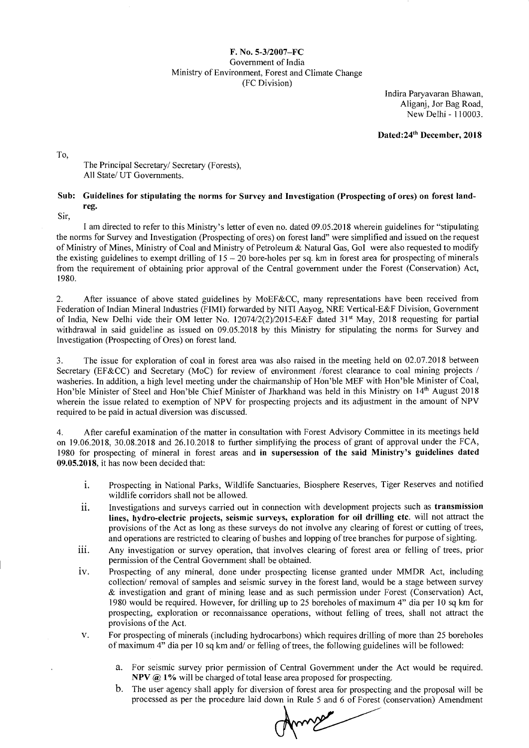## F. No. 5-3/2007—FC Government of India Ministry of Environment, Forest and Climate Change (FC Division)

Indira Paryavaran Bhawan, Aliganj, Jor Bag Road, New Delhi - 110003.

Dated: 24<sup>th</sup> December, 2018

To,

## The Principal Secretary/ Secretary (Forests), All State/ UT Governments.

## Sub: Guidelines for stipulating the norms for Survey and Investigation (Prospecting of ores) on forest landreg.

Sir,

I am directed to refer to this Ministry's letter of even no. dated 09.05.2018 wherein guidelines for "stipulating the norms for Survey and Investigation (Prospecting of ores) on forest land" were simplified and issued on the request of Ministry of Mines, Ministry of Coal and Ministry of Petroleum & Natural Gas, Gol were also requested to modify the existing guidelines to exempt drilling of  $15 - 20$  bore-holes per sq. km in forest area for prospecting of minerals from the requirement of obtaining prior approval of the Central government under the Forest (Conservation) Act, 1980.

2. After issuance of above stated guidelines by MoEF&CC, many representations have been received from Federation of Indian Mineral Industries (FIMI) forwarded by NITI Aayog, NRE Vertical-E&F Division, Government of India, New Delhi vide their OM letter No. 12074/2(2)/2015-E&F dated 31<sup>st</sup> May, 2018 requesting for partial withdrawal in said guideline as issued on 09.05.2018 by this Ministry for stipulating the norms for Survey and Investigation (Prospecting of Ores) on forest land.

3. The issue for exploration of coal in forest area was also raised in the meeting held on 02.07.2018 between Secretary (EF&CC) and Secretary (MoC) for review of environment /forest clearance to coal mining projects / washeries. In addition, a high level meeting under the chairmanship of Hon'ble MEF with Hon'ble Minister of Coal, Hon'ble Minister of Steel and Hon'ble Chief Minister of Jharkhand was held in this Ministry on 14th August 2018 wherein the issue related to exemption of NPV for prospecting projects and its adjustment in the amount of NPV required to be paid in actual diversion was discussed.

4. After careful examination of the matter in consultation with Forest Advisory Committee in its meetings held on 19.06.2018, 30.08.2018 and 26.10.2018 to further simplifying the process of grant of approval under the FCA, 1980 for prospecting of mineral in forest areas and in supersession of the said Ministry's guidelines dated 09.05.2018, it has now been decided that:

- i. Prospecting in National Parks, Wildlife Sanctuaries, Biosphere Reserves, Tiger Reserves and notified wildlife corridors shall not be allowed.
- ii. Investigations and surveys carried out in connection with development projects such as transmission lines, hydro-electric projects, seismic surveys, exploration for oil drilling etc. will not attract the provisions of the Act as long as these surveys do not involve any clearing of forest or cutting of trees, and operations are restricted to clearing of bushes and lopping of tree branches for purpose of sighting.
- iii. Any investigation or survey operation, that involves clearing of forest area or felling of trees, prior permission of the Central Government shall be obtained.
- iv. Prospecting of any mineral, done under prospecting license granted under MMDR Act, including collection/ removal of samples and seismic survey in the forest land, would be a stage between survey & investigation and grant of mining lease and as such permission under Forest (Conservation) Act, 1980 would be required. However, for drilling up to 25 boreholes of maximum 4" dia per 10 sq km for prospecting, exploration or reconnaissance operations, without felling of trees, shall not attract the provisions of the Act.
- v. For prospecting of minerals (including hydrocarbons) which requires drilling of more than 25 boreholes of maximum 4" dia per 10 sq km and/ or felling of trees, the following guidelines will be followed:
	- a. For seismic survey prior permission of Central Government under the Act would be required. NPV @ 1% will be charged of total lease area proposed for prospecting.
	- b. The user agency shall apply for diversion of forest area for prospecting and the proposal will be processed as per the procedure laid down in Rule 5 and 6 of Forest (conservation) Amendment

Annex